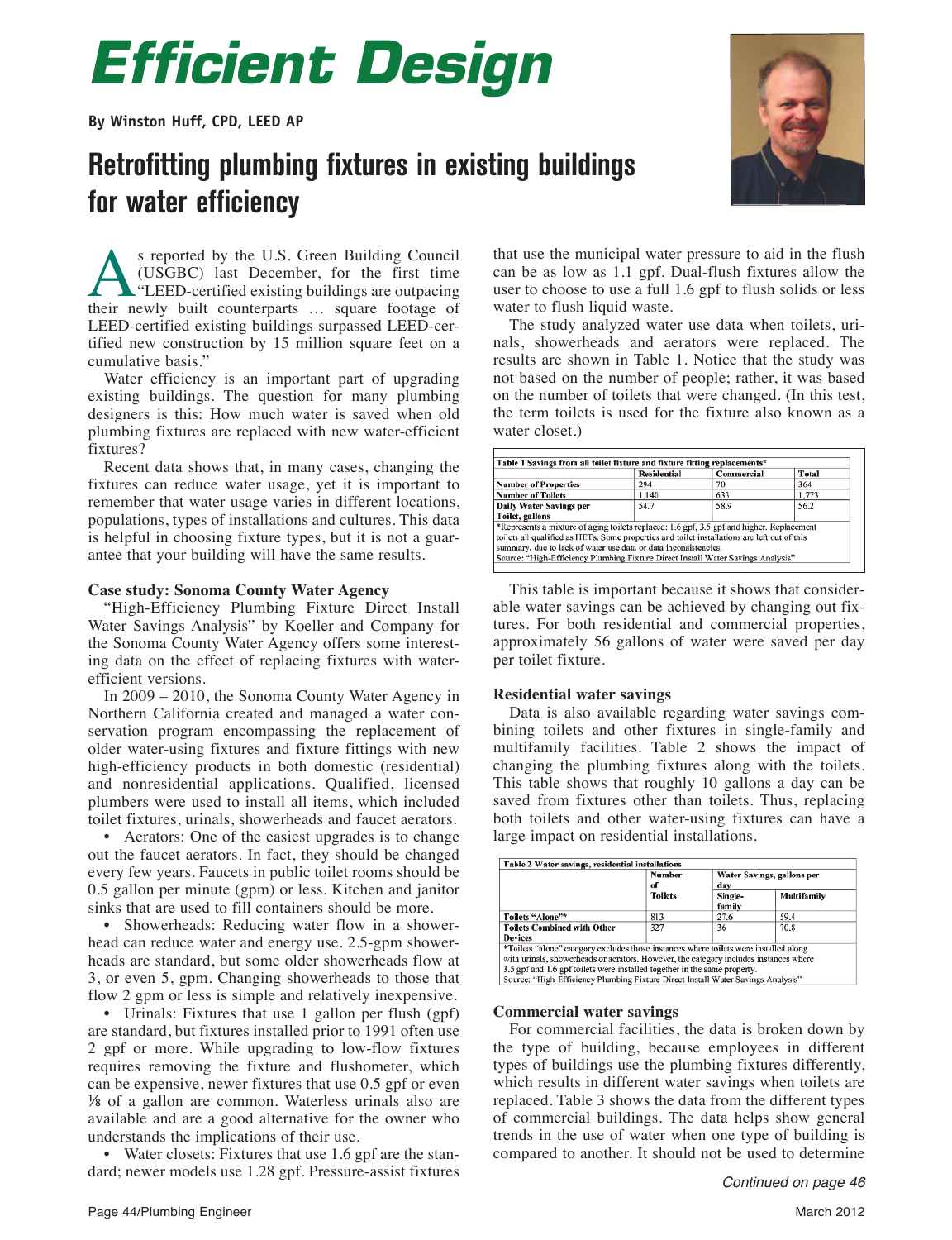# *Efficient Design*

**By Winston Huff, CPD, LEED AP**

### **Retrofitting plumbing fixtures in existing buildings for water efficiency**



S reported by the U.S. Green Building Council<br>(USGBC) last December, for the first time<br>"LEED-certified existing buildings are outpacing<br>their newly built counterparts ... square footage of (USGBC) last December, for the first time "LEED-certified existing buildings are outpacing their newly built counterparts … square footage of LEED-certified existing buildings surpassed LEED-certified new construction by 15 million square feet on a cumulative basis."

Water efficiency is an important part of upgrading existing buildings. The question for many plumbing designers is this: How much water is saved when old plumbing fixtures are replaced with new water-efficient fixtures?

Recent data shows that, in many cases, changing the fixtures can reduce water usage, yet it is important to remember that water usage varies in different locations, populations, types of installations and cultures. This data is helpful in choosing fixture types, but it is not a guarantee that your building will have the same results.

#### **Case study: Sonoma County Water Agency**

"High-Efficiency Plumbing Fixture Direct Install Water Savings Analysis" by Koeller and Company for the Sonoma County Water Agency offers some interesting data on the effect of replacing fixtures with waterefficient versions.

In 2009 – 2010, the Sonoma County Water Agency in Northern California created and managed a water conservation program encompassing the replacement of older water-using fixtures and fixture fittings with new high-efficiency products in both domestic (residential) and nonresidential applications. Qualified, licensed plumbers were used to install all items, which included toilet fixtures, urinals, showerheads and faucet aerators.

• Aerators: One of the easiest upgrades is to change out the faucet aerators. In fact, they should be changed every few years. Faucets in public toilet rooms should be 0.5 gallon per minute (gpm) or less. Kitchen and janitor sinks that are used to fill containers should be more.

• Showerheads: Reducing water flow in a showerhead can reduce water and energy use. 2.5-gpm showerheads are standard, but some older showerheads flow at 3, or even 5, gpm. Changing showerheads to those that flow 2 gpm or less is simple and relatively inexpensive.

• Urinals: Fixtures that use 1 gallon per flush (gpf) are standard, but fixtures installed prior to 1991 often use 2 gpf or more. While upgrading to low-flow fixtures requires removing the fixture and flushometer, which can be expensive, newer fixtures that use 0.5 gpf or even ⅛ of a gallon are common. Waterless urinals also are available and are a good alternative for the owner who understands the implications of their use.

• Water closets: Fixtures that use 1.6 gpf are the standard; newer models use 1.28 gpf. Pressure-assist fixtures

that use the municipal water pressure to aid in the flush can be as low as 1.1 gpf. Dual-flush fixtures allow the user to choose to use a full 1.6 gpf to flush solids or less water to flush liquid waste.

The study analyzed water use data when toilets, urinals, showerheads and aerators were replaced. The results are shown in Table 1. Notice that the study was not based on the number of people; rather, it was based on the number of toilets that were changed. (In this test, the term toilets is used for the fixture also known as a water closet.)

|                                                                                              | <b>Residential</b> | Commercial | <b>Total</b> |
|----------------------------------------------------------------------------------------------|--------------------|------------|--------------|
| <b>Number of Properties</b>                                                                  | 294                | 70         | 364          |
| <b>Number of Toilets</b>                                                                     | 1,140              | 633        | 1,773        |
| <b>Daily Water Savings per</b>                                                               | 54.7               | 58.9       | 56.2         |
| Toilet, gallons                                                                              |                    |            |              |
| *Represents a mixture of aging toilets replaced: 1.6 gpf, 3.5 gpf and higher. Replacement    |                    |            |              |
| toilets all qualified as HETs. Some properties and toilet installations are left out of this |                    |            |              |
| summary, due to lack of water use data or data inconsistencies.                              |                    |            |              |
| Source: "High-Efficiency Plumbing Fixture Direct Install Water Savings Analysis"             |                    |            |              |

This table is important because it shows that considerable water savings can be achieved by changing out fixtures. For both residential and commercial properties, approximately 56 gallons of water were saved per day per toilet fixture.

#### **Residential water savings**

Data is also available regarding water savings combining toilets and other fixtures in single-family and multifamily facilities. Table 2 shows the impact of changing the plumbing fixtures along with the toilets. This table shows that roughly 10 gallons a day can be saved from fixtures other than toilets. Thus, replacing both toilets and other water-using fixtures can have a large impact on residential installations.

|                                                                                                                                                                                                                                                                                                                                                 | <b>Number</b><br>of<br><b>Toilets</b> | Water Savings, gallons per<br>day |             |
|-------------------------------------------------------------------------------------------------------------------------------------------------------------------------------------------------------------------------------------------------------------------------------------------------------------------------------------------------|---------------------------------------|-----------------------------------|-------------|
|                                                                                                                                                                                                                                                                                                                                                 |                                       | Single-<br>family                 | Multifamily |
| Toilets "Alone"*                                                                                                                                                                                                                                                                                                                                | 813                                   | 27.6                              | 59.4        |
| <b>Toilets Combined with Other</b><br><b>Devices</b>                                                                                                                                                                                                                                                                                            | 327                                   | 36                                | 70.8        |
| *Toilets "alone" category excludes those instances where toilets were installed along<br>with urinals, showerheads or aerators. However, the category includes instances where<br>3.5 gpf and 1.6 gpf toilets were installed together in the same property.<br>Source: "High-Efficiency Plumbing Fixture Direct Install Water Savings Analysis" |                                       |                                   |             |

#### **Commercial water savings**

For commercial facilities, the data is broken down by the type of building, because employees in different types of buildings use the plumbing fixtures differently, which results in different water savings when toilets are replaced. Table 3 shows the data from the different types of commercial buildings. The data helps show general trends in the use of water when one type of building is compared to another. It should not be used to determine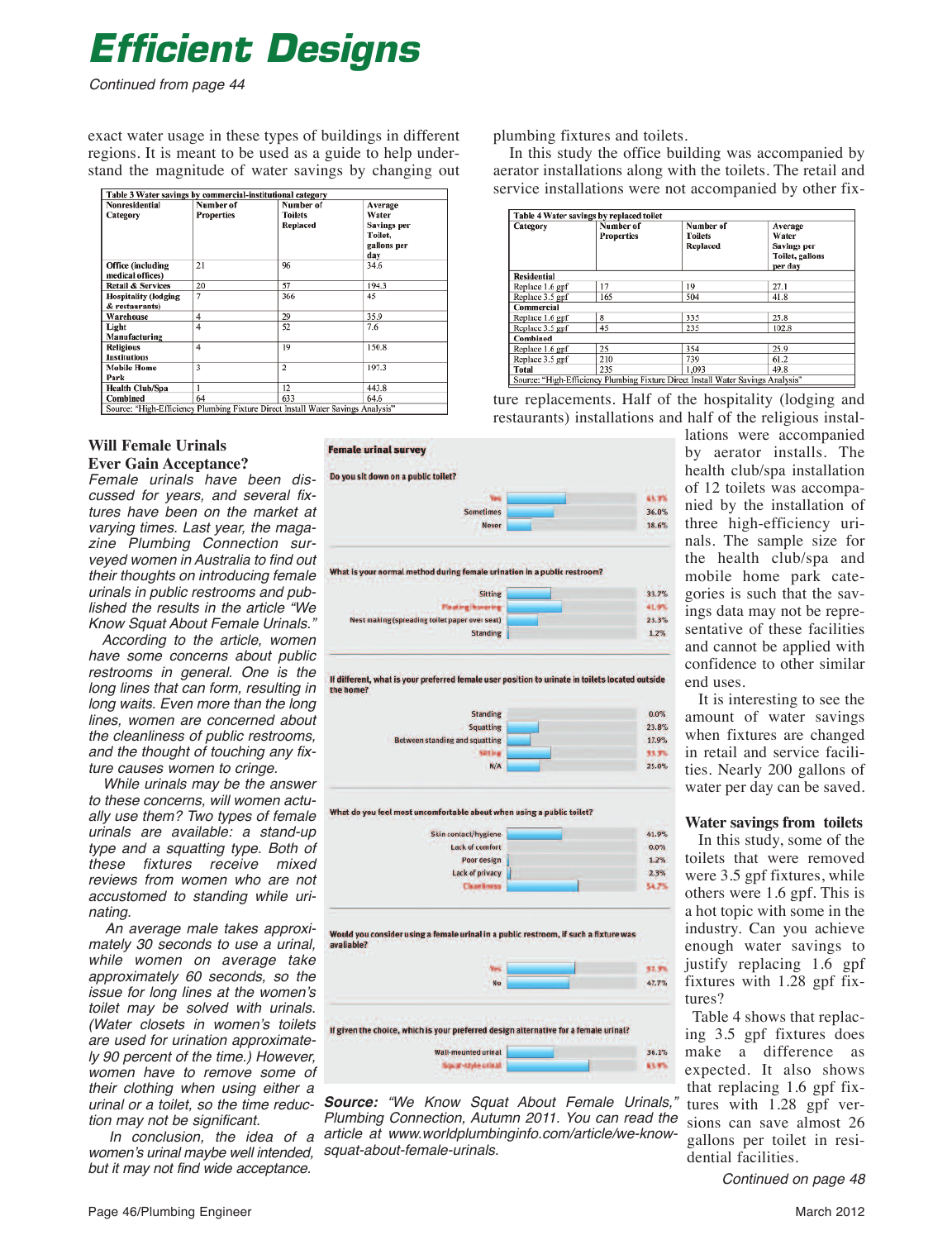### *Efficient Designs*

Continued from page 44

exact water usage in these types of buildings in different regions. It is meant to be used as a guide to help understand the magnitude of water savings by changing out

| Table 3 Water savings by commercial-institutional category |                                |                                                                                  |                                                                  |  |  |
|------------------------------------------------------------|--------------------------------|----------------------------------------------------------------------------------|------------------------------------------------------------------|--|--|
| <b>Nonresidential</b><br>Category                          | Number of<br><b>Properties</b> | Number of<br><b>Toilets</b><br>Replaced                                          | Average<br>Water<br>Savings per<br>Toilet.<br>gallons per<br>day |  |  |
| Office (including<br>medical offices)                      | 21                             | 96                                                                               | 34.6                                                             |  |  |
| <b>Retail &amp; Services</b>                               | 20                             | 57                                                                               | 194.3                                                            |  |  |
| <b>Hospitality</b> (lodging<br>& restaurants)              | 7                              | 366                                                                              | 45                                                               |  |  |
| Warehouse                                                  | 4                              | 29                                                                               | 35.9                                                             |  |  |
| Light<br>Manufacturing                                     | $\overline{4}$                 | 52                                                                               | 7.6                                                              |  |  |
| <b>Religious</b><br><b>Institutions</b>                    | $\overline{4}$                 | 19                                                                               | 150.8                                                            |  |  |
| <b>Mobile Home</b><br>Park                                 | $\overline{\mathbf{3}}$        | $\overline{c}$                                                                   | 197.3                                                            |  |  |
| <b>Health Club/Spa</b>                                     | 1                              | 12                                                                               | 443.8                                                            |  |  |
| Combined                                                   | 64                             | 633                                                                              | 64.6                                                             |  |  |
|                                                            |                                | Source: "High-Efficiency Plumbing Fixture Direct Install Water Savings Analysis" |                                                                  |  |  |

#### **Will Female Urinals Ever Gain Acceptance?**

Female urinals have been discussed for years, and several fixtures have been on the market at varying times. Last year, the magazine Plumbing Connection surveyed women in Australia to find out their thoughts on introducing female urinals in public restrooms and published the results in the article "We Know Squat About Female Urinals."

According to the article, women have some concerns about public restrooms in general. One is the long lines that can form, resulting in long waits. Even more than the long lines, women are concerned about the cleanliness of public restrooms, and the thought of touching any fixture causes women to cringe.

While urinals may be the answer to these concerns, will women actually use them? Two types of female urinals are available: a stand-up type and a squatting type. Both of these fixtures receive mixed reviews from women who are not accustomed to standing while urinating.

An average male takes approximately 30 seconds to use a urinal, while women on average take approximately 60 seconds, so the issue for long lines at the women's toilet may be solved with urinals. (Water closets in women's toilets are used for urination approximately 90 percent of the time.) However, women have to remove some of their clothing when using either a urinal or a toilet, so the time reduction may not be significant.

In conclusion, the idea of a women's urinal maybe well intended, but it may not find wide acceptance.















**Source:** "We Know Squat About Female Urinals, Plumbing Connection, Autumn 2011. You can read the article at www.worldplumbinginfo.com/article/we-knowsquat-about-female-urinals.

plumbing fixtures and toilets.

In this study the office building was accompanied by aerator installations along with the toilets. The retail and service installations were not accompanied by other fix-

| Table 4 Water savings by replaced toilet                                         |                                |                                                |                                                                      |  |  |
|----------------------------------------------------------------------------------|--------------------------------|------------------------------------------------|----------------------------------------------------------------------|--|--|
| Category                                                                         | Number of<br><b>Properties</b> | Number of<br><b>Toilets</b><br><b>Replaced</b> | Average<br>Water<br><b>Savings per</b><br>Toilet, gallons<br>per day |  |  |
| <b>Residential</b>                                                               |                                |                                                |                                                                      |  |  |
| Replace 1.6 gpf                                                                  | 17                             | 19                                             | 27.1                                                                 |  |  |
| Replace 3.5 gpf                                                                  | 165                            | 504                                            | 41.8                                                                 |  |  |
| Commercial                                                                       |                                |                                                |                                                                      |  |  |
| Replace 1.6 gpf                                                                  | 8                              | 335                                            | 25.8                                                                 |  |  |
| Replace 3.5 gpf                                                                  | 45                             | 235                                            | 102.8                                                                |  |  |
| Combined                                                                         |                                |                                                |                                                                      |  |  |
| Replace 1.6 gpf                                                                  | 25                             | 354                                            | 25.9                                                                 |  |  |
| Replace 3.5 gpf                                                                  | 210                            | 739                                            | 61.2                                                                 |  |  |
| <b>Total</b>                                                                     | 235                            | 1.093                                          | 49.8                                                                 |  |  |
| Source: "High-Efficiency Plumbing Fixture Direct Install Water Savings Analysis" |                                |                                                |                                                                      |  |  |

ture replacements. Half of the hospitality (lodging and restaurants) installations and half of the religious instal-

lations were accompanied by aerator installs. The health club/spa installation of 12 toilets was accompanied by the installation of three high-efficiency urinals. The sample size for the health club/spa and mobile home park categories is such that the savings data may not be representative of these facilities and cannot be applied with confidence to other similar end uses.

It is interesting to see the amount of water savings when fixtures are changed in retail and service facilities. Nearly 200 gallons of water per day can be saved.

#### **Water savings from toilets**

In this study, some of the toilets that were removed were 3.5 gpf fixtures, while others were 1.6 gpf. This is a hot topic with some in the industry. Can you achieve enough water savings to justify replacing 1.6 gpf fixtures with 1.28 gpf fixtures?

Table 4 shows that replacing 3.5 gpf fixtures does make a difference as expected. It also shows that replacing 1.6 gpf fixtures with 1.28 gpf versions can save almost 26 gallons per toilet in residential facilities.

Continued on page 48